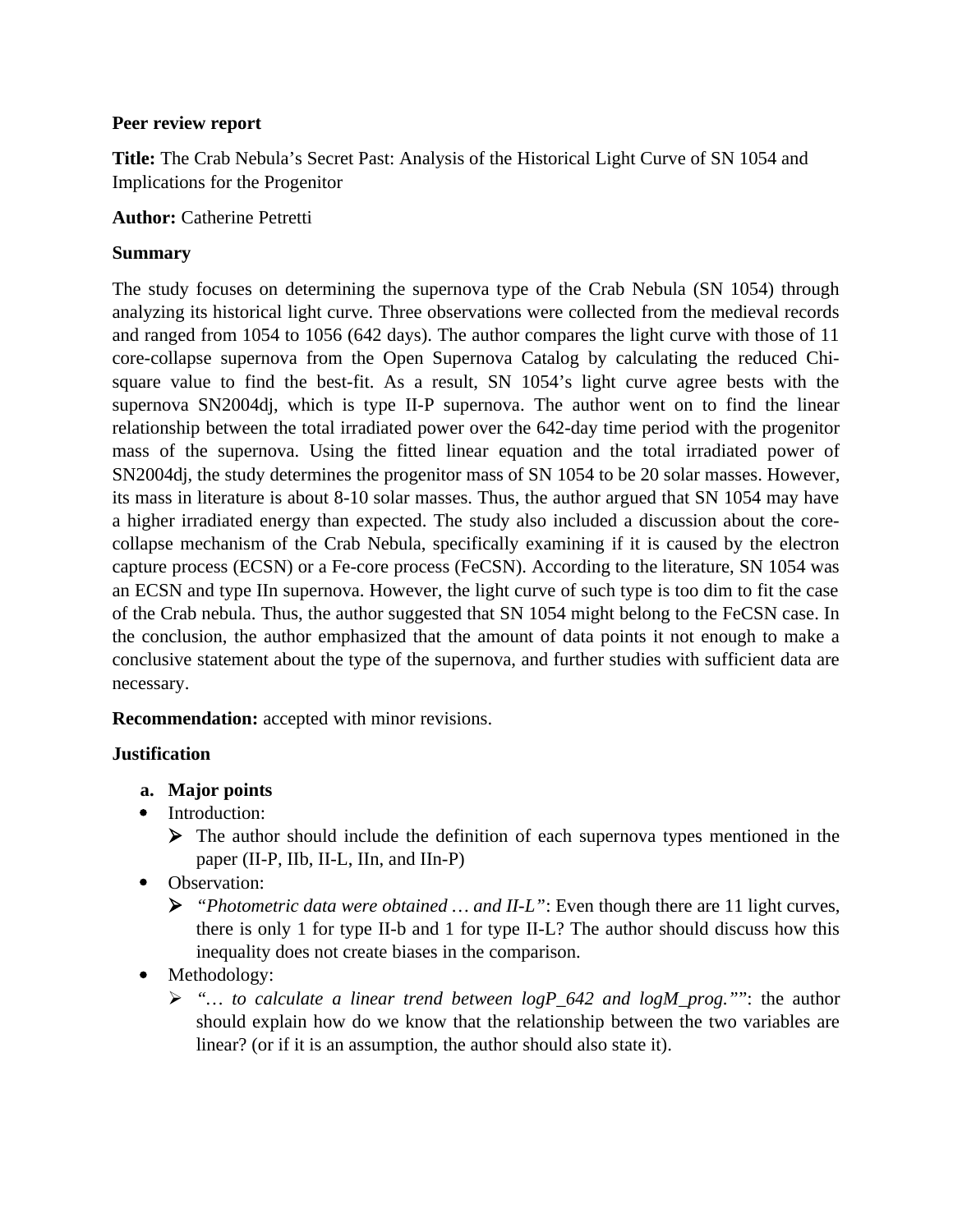## **Peer review report**

**Title:** The Crab Nebula's Secret Past: Analysis of the Historical Light Curve of SN 1054 and Implications for the Progenitor

**Author:** Catherine Petretti

# **Summary**

The study focuses on determining the supernova type of the Crab Nebula (SN 1054) through analyzing its historical light curve. Three observations were collected from the medieval records and ranged from 1054 to 1056 (642 days). The author compares the light curve with those of 11 core-collapse supernova from the Open Supernova Catalog by calculating the reduced Chisquare value to find the best-fit. As a result, SN 1054's light curve agree bests with the supernova SN2004dj, which is type II-P supernova. The author went on to find the linear relationship between the total irradiated power over the 642-day time period with the progenitor mass of the supernova. Using the fitted linear equation and the total irradiated power of SN2004dj, the study determines the progenitor mass of SN 1054 to be 20 solar masses. However, its mass in literature is about 8-10 solar masses. Thus, the author argued that SN 1054 may have a higher irradiated energy than expected. The study also included a discussion about the corecollapse mechanism of the Crab Nebula, specifically examining if it is caused by the electron capture process (ECSN) or a Fe-core process (FeCSN). According to the literature, SN 1054 was an ECSN and type IIn supernova. However, the light curve of such type is too dim to fit the case of the Crab nebula. Thus, the author suggested that SN 1054 might belong to the FeCSN case. In the conclusion, the author emphasized that the amount of data points it not enough to make a conclusive statement about the type of the supernova, and further studies with sufficient data are necessary.

**Recommendation:** accepted with minor revisions.

# **Justification**

- **a. Major points**
- Introduction:
	- $\triangleright$  The author should include the definition of each supernova types mentioned in the paper (II-P, IIb, II-L, IIn, and IIn-P)
- Observation:
	- *"Photometric data were obtained … and II-L"*: Even though there are 11 light curves, there is only 1 for type II-b and 1 for type II-L? The author should discuss how this inequality does not create biases in the comparison.
- Methodology:
	- *"… to calculate a linear trend between logP\_642 and logM\_prog."*": the author should explain how do we know that the relationship between the two variables are linear? (or if it is an assumption, the author should also state it).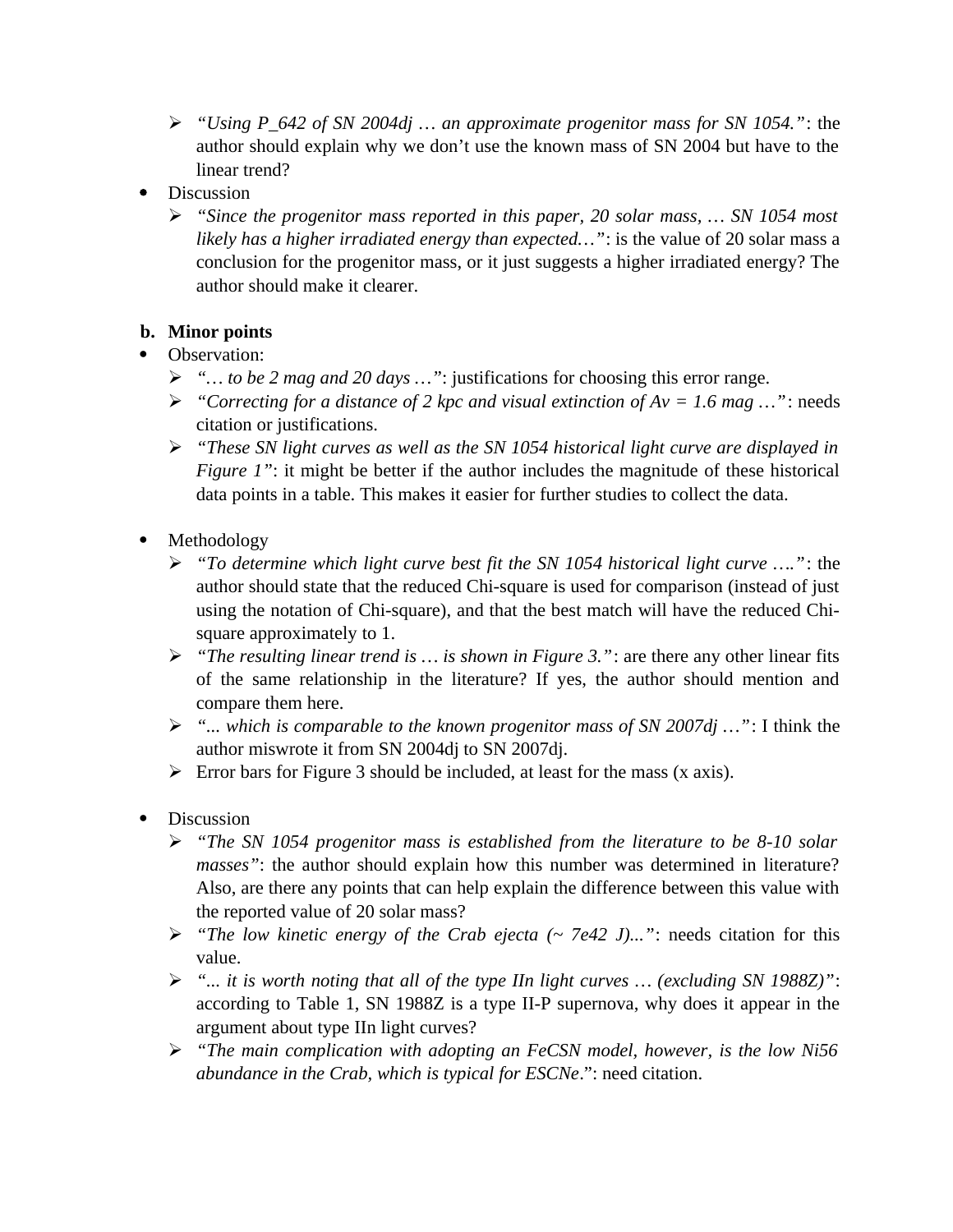- *"Using P\_642 of SN 2004dj … an approximate progenitor mass for SN 1054."*: the author should explain why we don't use the known mass of SN 2004 but have to the linear trend?
- Discussion
	- *"Since the progenitor mass reported in this paper, 20 solar mass, … SN 1054 most likely has a higher irradiated energy than expected…"*: is the value of 20 solar mass a conclusion for the progenitor mass, or it just suggests a higher irradiated energy? The author should make it clearer.

# **b. Minor points**

- Observation:
	- *"… to be 2 mag and 20 days …"*: justifications for choosing this error range.
	- *"Correcting for a distance of 2 kpc and visual extinction of Av = 1.6 mag …"*: needs citation or justifications.
	- *"These SN light curves as well as the SN 1054 historical light curve are displayed in Figure 1"*: it might be better if the author includes the magnitude of these historical data points in a table. This makes it easier for further studies to collect the data.
- Methodology
	- *"To determine which light curve best fit the SN 1054 historical light curve …."*: the author should state that the reduced Chi-square is used for comparison (instead of just using the notation of Chi-square), and that the best match will have the reduced Chisquare approximately to 1.
	- *"The resulting linear trend is … is shown in Figure 3."*: are there any other linear fits of the same relationship in the literature? If yes, the author should mention and compare them here.
	- *"... which is comparable to the known progenitor mass of SN 2007dj …"*: I think the author miswrote it from SN 2004dj to SN 2007dj.
	- $\triangleright$  Error bars for Figure 3 should be included, at least for the mass (x axis).
- Discussion
	- *"The SN 1054 progenitor mass is established from the literature to be 8-10 solar masses"*: the author should explain how this number was determined in literature? Also, are there any points that can help explain the difference between this value with the reported value of 20 solar mass?
	- *"The low kinetic energy of the Crab ejecta (~ 7e42 J)..."*: needs citation for this value.
	- *"... it is worth noting that all of the type IIn light curves … (excluding SN 1988Z)"*: according to Table 1, SN 1988Z is a type II-P supernova, why does it appear in the argument about type IIn light curves?
	- *"The main complication with adopting an FeCSN model, however, is the low Ni56 abundance in the Crab, which is typical for ESCNe*.": need citation.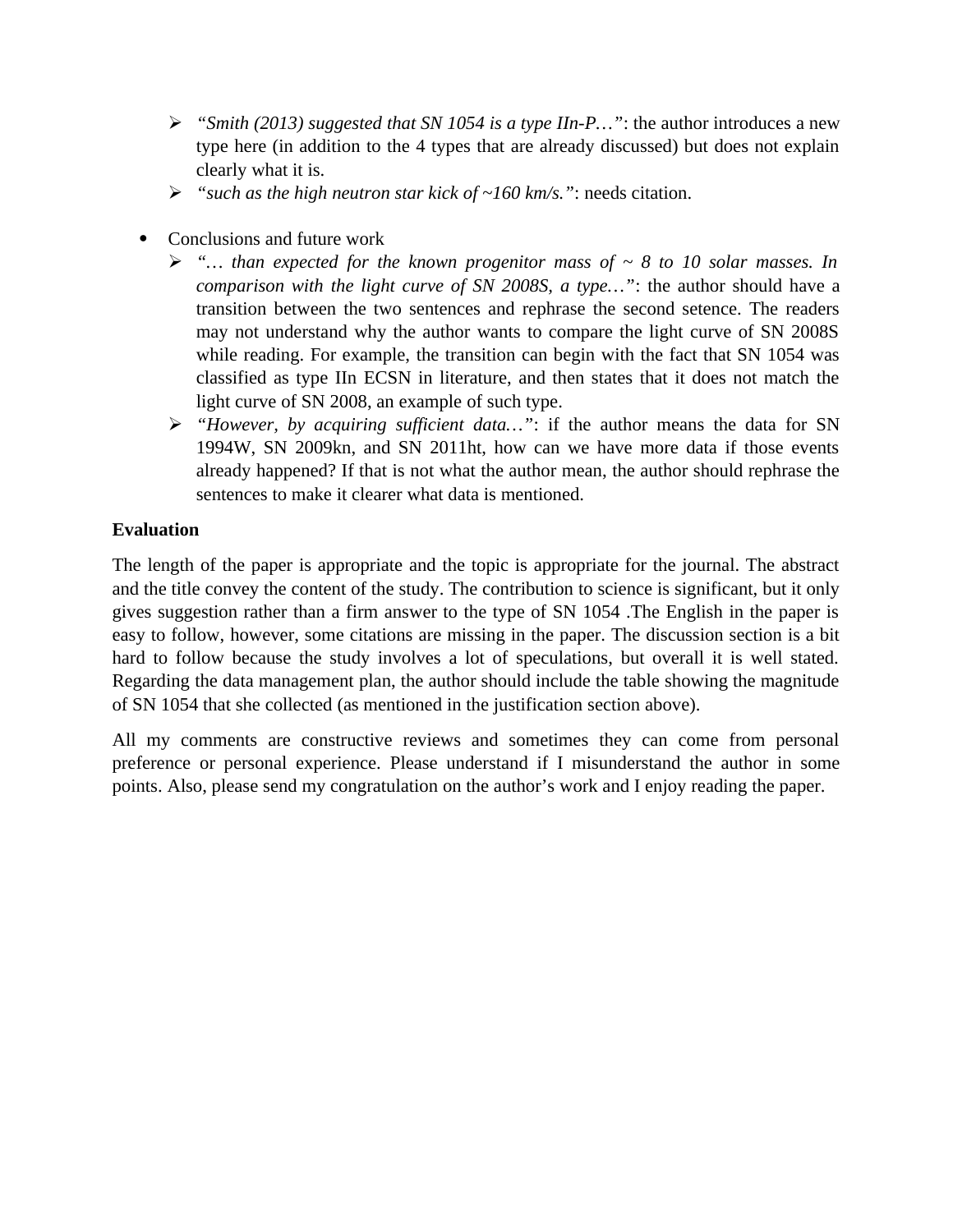- *"Smith (2013) suggested that SN 1054 is a type IIn-P…"*: the author introduces a new type here (in addition to the 4 types that are already discussed) but does not explain clearly what it is.
- *"such as the high neutron star kick of ~160 km/s."*: needs citation.
- Conclusions and future work
	- *"… than expected for the known progenitor mass of ~ 8 to 10 solar masses. In comparison with the light curve of SN 2008S, a type…"*: the author should have a transition between the two sentences and rephrase the second setence. The readers may not understand why the author wants to compare the light curve of SN 2008S while reading. For example, the transition can begin with the fact that SN 1054 was classified as type IIn ECSN in literature, and then states that it does not match the light curve of SN 2008, an example of such type.
	- *"However, by acquiring sufficient data…"*: if the author means the data for SN 1994W, SN 2009kn, and SN 2011ht, how can we have more data if those events already happened? If that is not what the author mean, the author should rephrase the sentences to make it clearer what data is mentioned.

# **Evaluation**

The length of the paper is appropriate and the topic is appropriate for the journal. The abstract and the title convey the content of the study. The contribution to science is significant, but it only gives suggestion rather than a firm answer to the type of SN 1054 .The English in the paper is easy to follow, however, some citations are missing in the paper. The discussion section is a bit hard to follow because the study involves a lot of speculations, but overall it is well stated. Regarding the data management plan, the author should include the table showing the magnitude of SN 1054 that she collected (as mentioned in the justification section above).

All my comments are constructive reviews and sometimes they can come from personal preference or personal experience. Please understand if I misunderstand the author in some points. Also, please send my congratulation on the author's work and I enjoy reading the paper.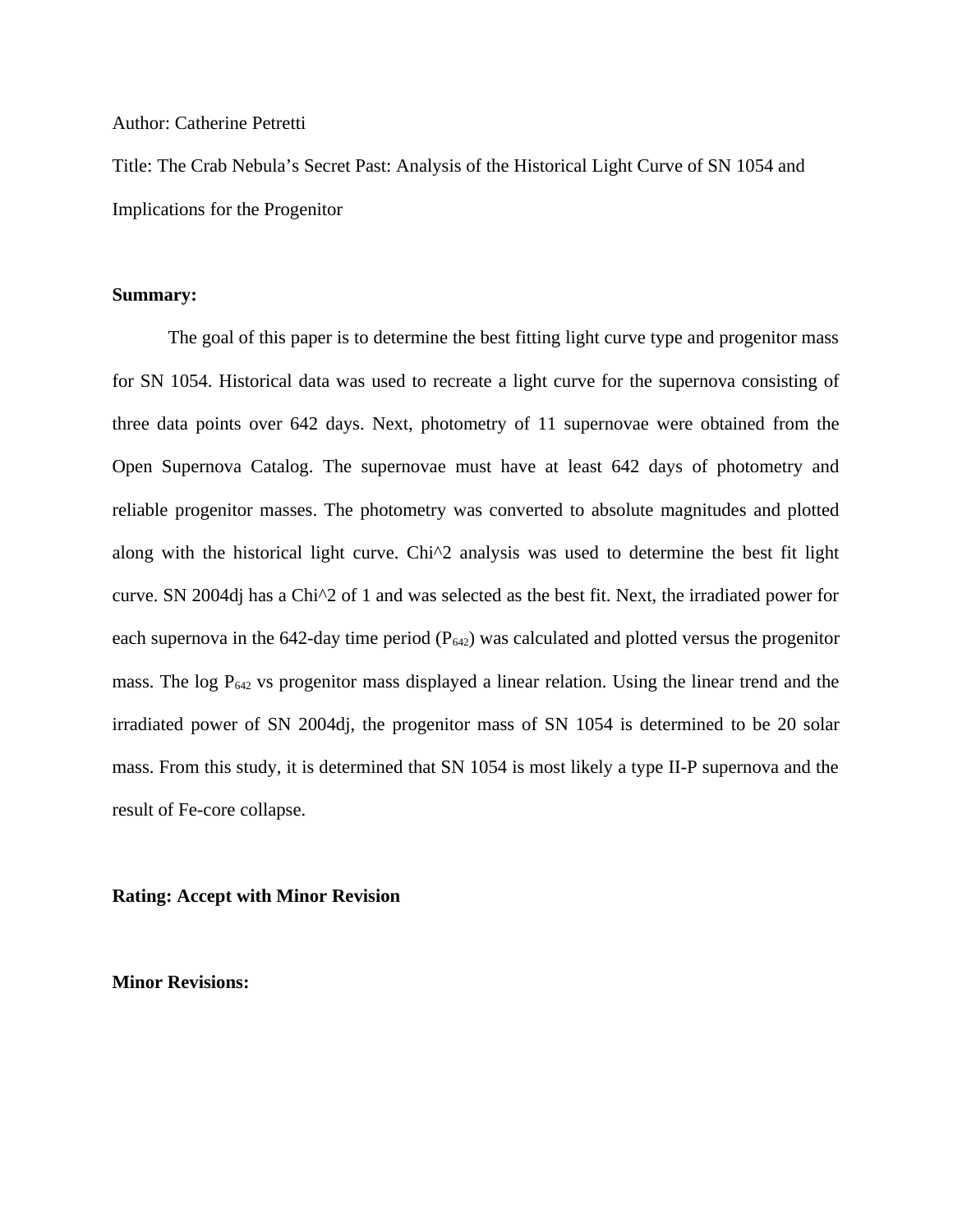#### Author: Catherine Petretti

Title: The Crab Nebula's Secret Past: Analysis of the Historical Light Curve of SN 1054 and Implications for the Progenitor

#### **Summary:**

The goal of this paper is to determine the best fitting light curve type and progenitor mass for SN 1054. Historical data was used to recreate a light curve for the supernova consisting of three data points over 642 days. Next, photometry of 11 supernovae were obtained from the Open Supernova Catalog. The supernovae must have at least 642 days of photometry and reliable progenitor masses. The photometry was converted to absolute magnitudes and plotted along with the historical light curve. Chi^2 analysis was used to determine the best fit light curve. SN 2004dj has a  $Chi\textsuperscript{2}$  of 1 and was selected as the best fit. Next, the irradiated power for each supernova in the 642-day time period  $(P_{642})$  was calculated and plotted versus the progenitor mass. The log  $P_{642}$  vs progenitor mass displayed a linear relation. Using the linear trend and the irradiated power of SN 2004dj, the progenitor mass of SN 1054 is determined to be 20 solar mass. From this study, it is determined that SN 1054 is most likely a type II-P supernova and the result of Fe-core collapse.

#### **Rating: Accept with Minor Revision**

**Minor Revisions:**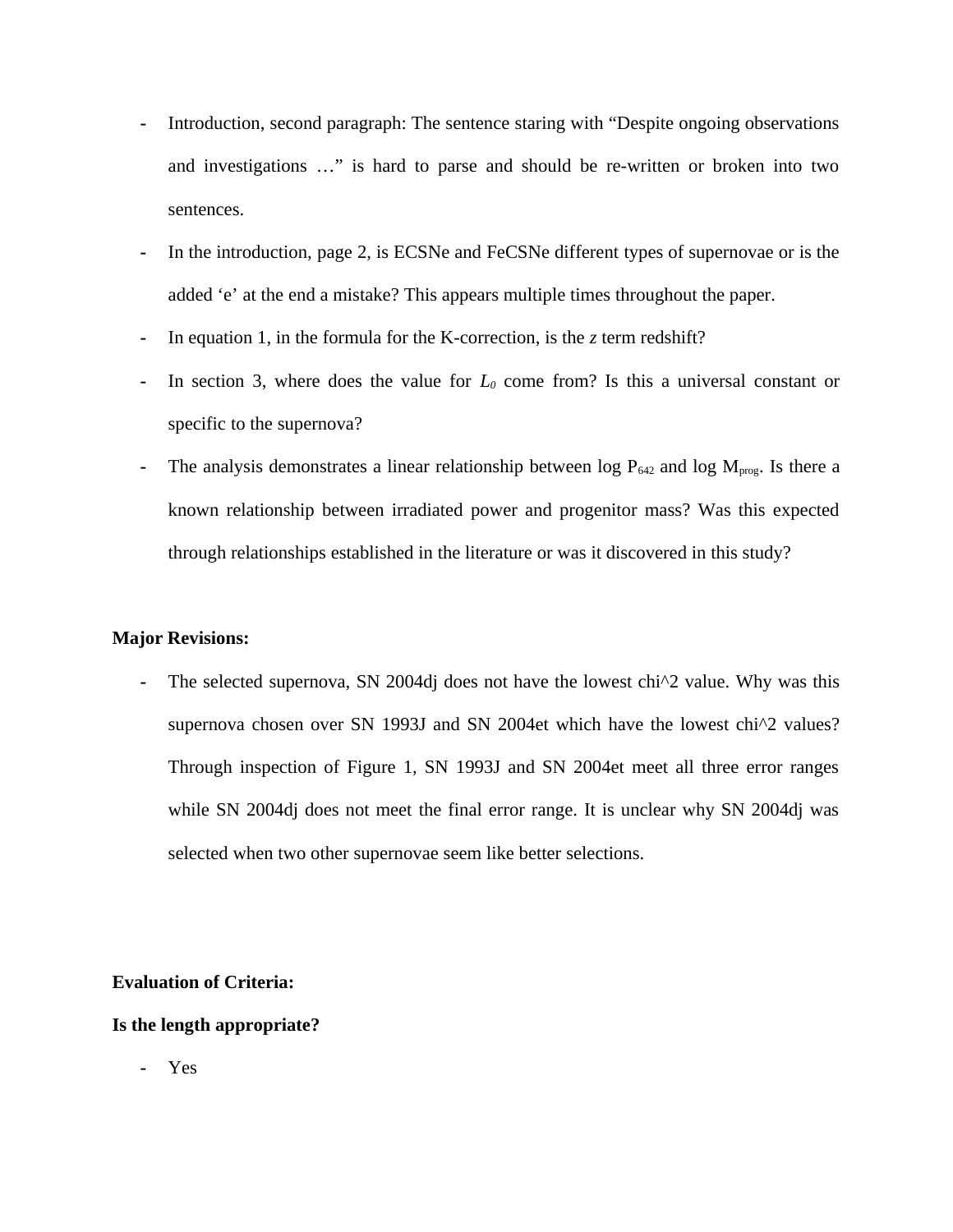- **-** Introduction, second paragraph: The sentence staring with "Despite ongoing observations and investigations …" is hard to parse and should be re-written or broken into two sentences.
- **-** In the introduction, page 2, is ECSNe and FeCSNe different types of supernovae or is the added 'e' at the end a mistake? This appears multiple times throughout the paper.
- **-** In equation 1, in the formula for the K-correction, is the *z* term redshift?
- **-** In section 3, where does the value for *L<sup>0</sup>* come from? Is this a universal constant or specific to the supernova?
- The analysis demonstrates a linear relationship between  $log P_{642}$  and  $log M_{prog}$ . Is there a known relationship between irradiated power and progenitor mass? Was this expected through relationships established in the literature or was it discovered in this study?

#### **Major Revisions:**

The selected supernova, SN 2004dj does not have the lowest chi<sup> $\Delta$ </sup> value. Why was this supernova chosen over SN 1993J and SN 2004et which have the lowest chi^2 values? Through inspection of Figure 1, SN 1993J and SN 2004et meet all three error ranges while SN 2004dj does not meet the final error range. It is unclear why SN 2004dj was selected when two other supernovae seem like better selections.

## **Evaluation of Criteria:**

## **Is the length appropriate?**

**-** Yes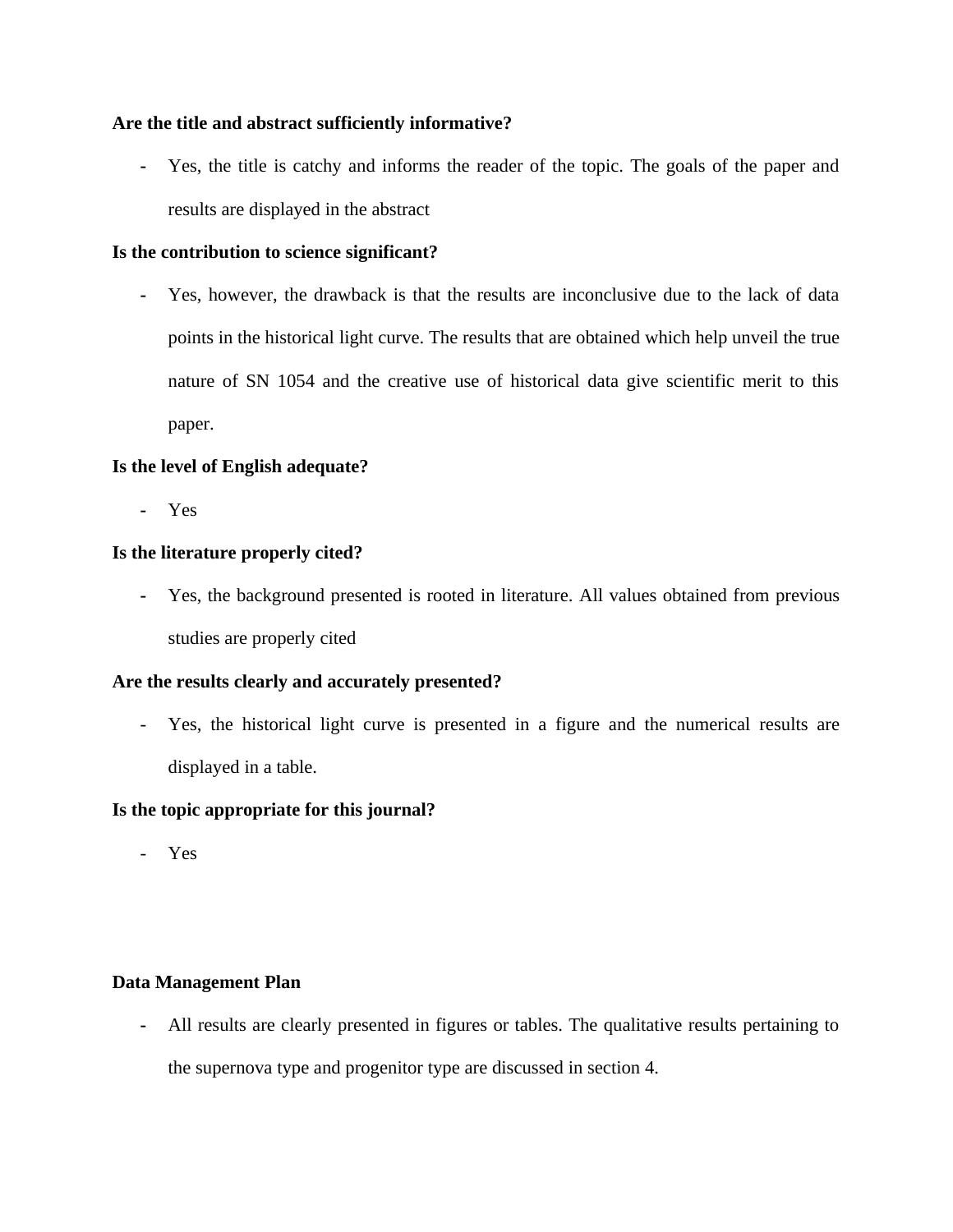## **Are the title and abstract sufficiently informative?**

**-** Yes, the title is catchy and informs the reader of the topic. The goals of the paper and results are displayed in the abstract

## **Is the contribution to science significant?**

**-** Yes, however, the drawback is that the results are inconclusive due to the lack of data points in the historical light curve. The results that are obtained which help unveil the true nature of SN 1054 and the creative use of historical data give scientific merit to this paper.

## **Is the level of English adequate?**

**-** Yes

## **Is the literature properly cited?**

**-** Yes, the background presented is rooted in literature. All values obtained from previous studies are properly cited

## **Are the results clearly and accurately presented?**

- Yes, the historical light curve is presented in a figure and the numerical results are displayed in a table.

## **Is the topic appropriate for this journal?**

- Yes

## **Data Management Plan**

**-** All results are clearly presented in figures or tables. The qualitative results pertaining to the supernova type and progenitor type are discussed in section 4.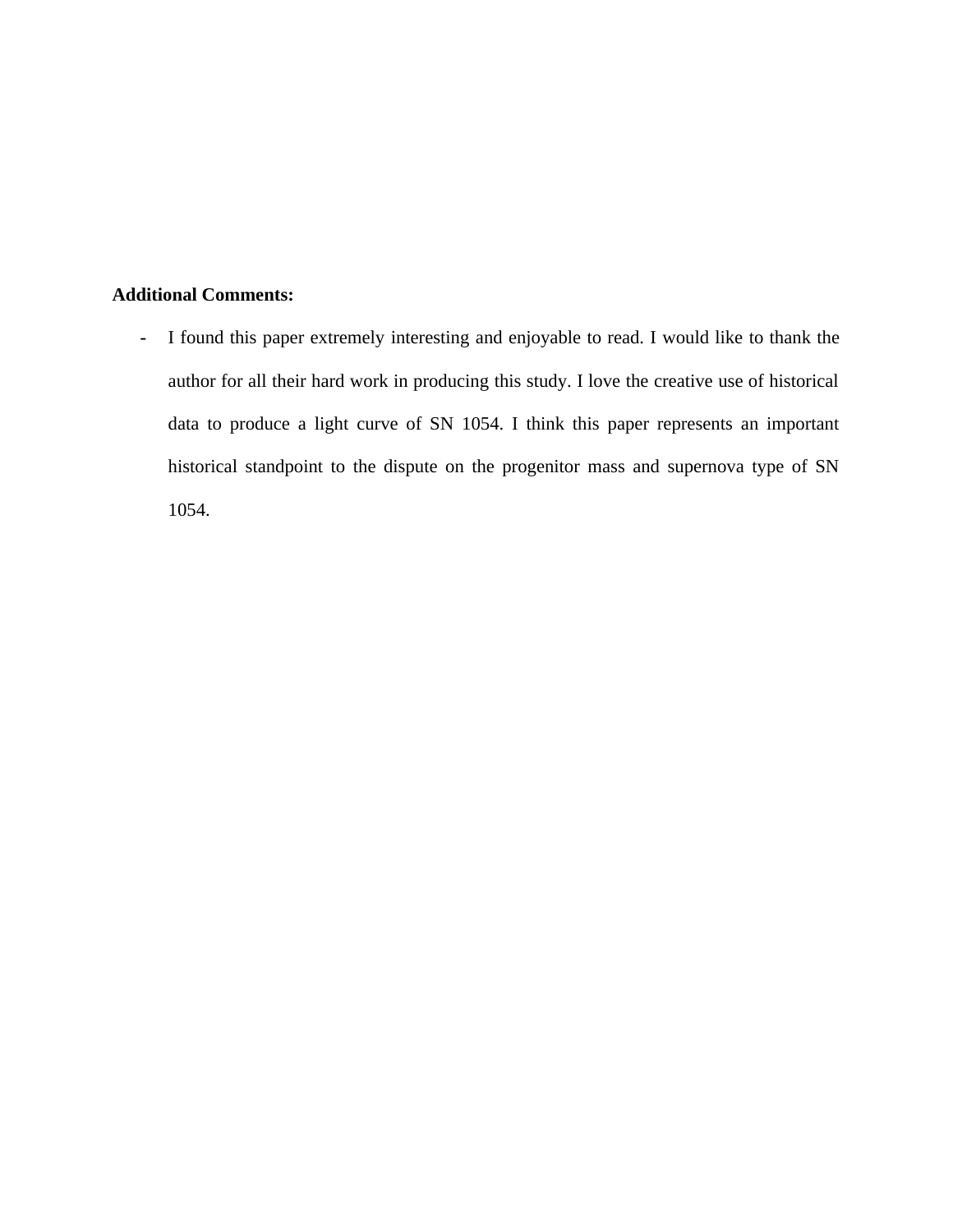# **Additional Comments:**

**-** I found this paper extremely interesting and enjoyable to read. I would like to thank the author for all their hard work in producing this study. I love the creative use of historical data to produce a light curve of SN 1054. I think this paper represents an important historical standpoint to the dispute on the progenitor mass and supernova type of SN 1054.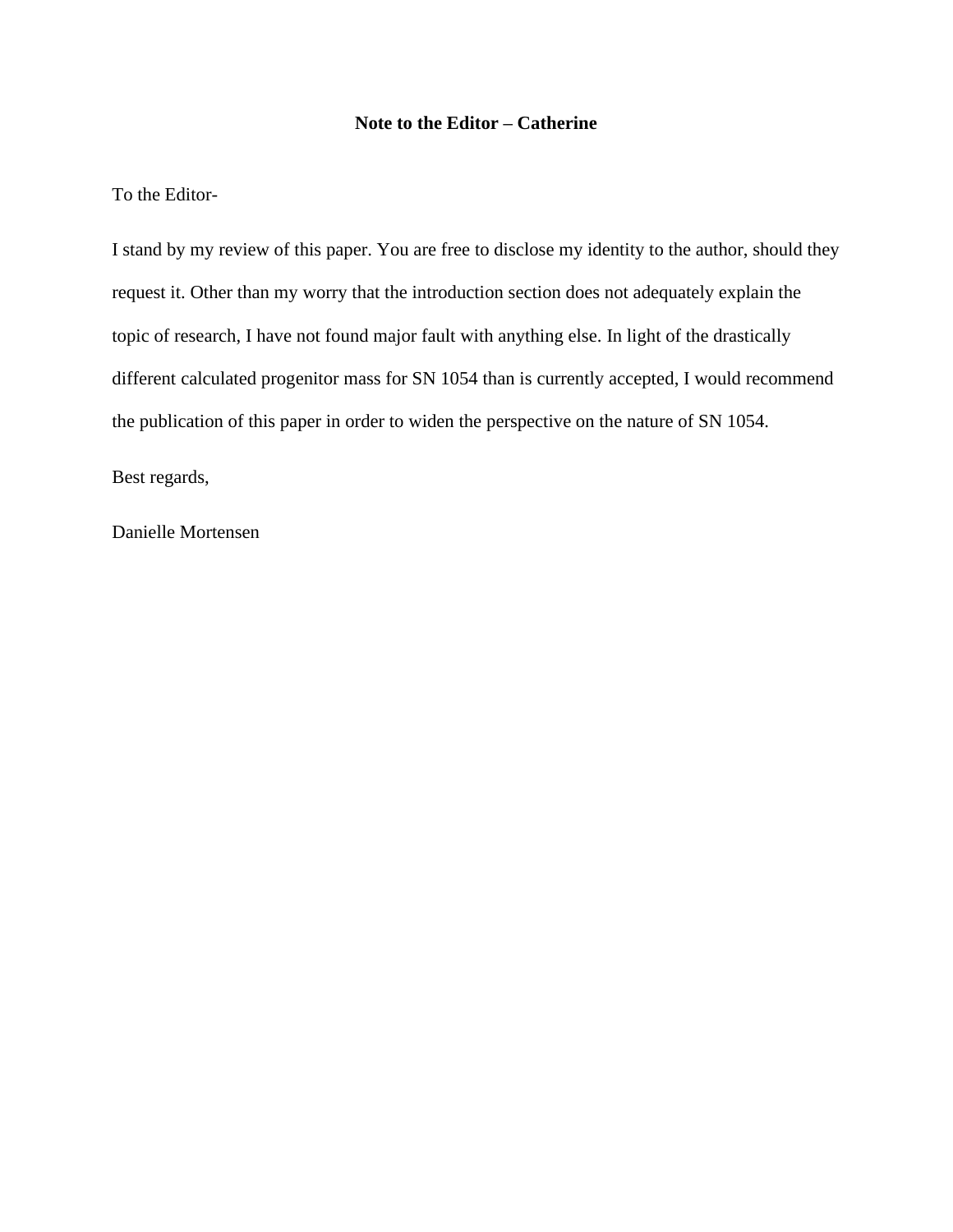#### **Note to the Editor – Catherine**

#### To the Editor-

I stand by my review of this paper. You are free to disclose my identity to the author, should they request it. Other than my worry that the introduction section does not adequately explain the topic of research, I have not found major fault with anything else. In light of the drastically different calculated progenitor mass for SN 1054 than is currently accepted, I would recommend the publication of this paper in order to widen the perspective on the nature of SN 1054.

Best regards,

Danielle Mortensen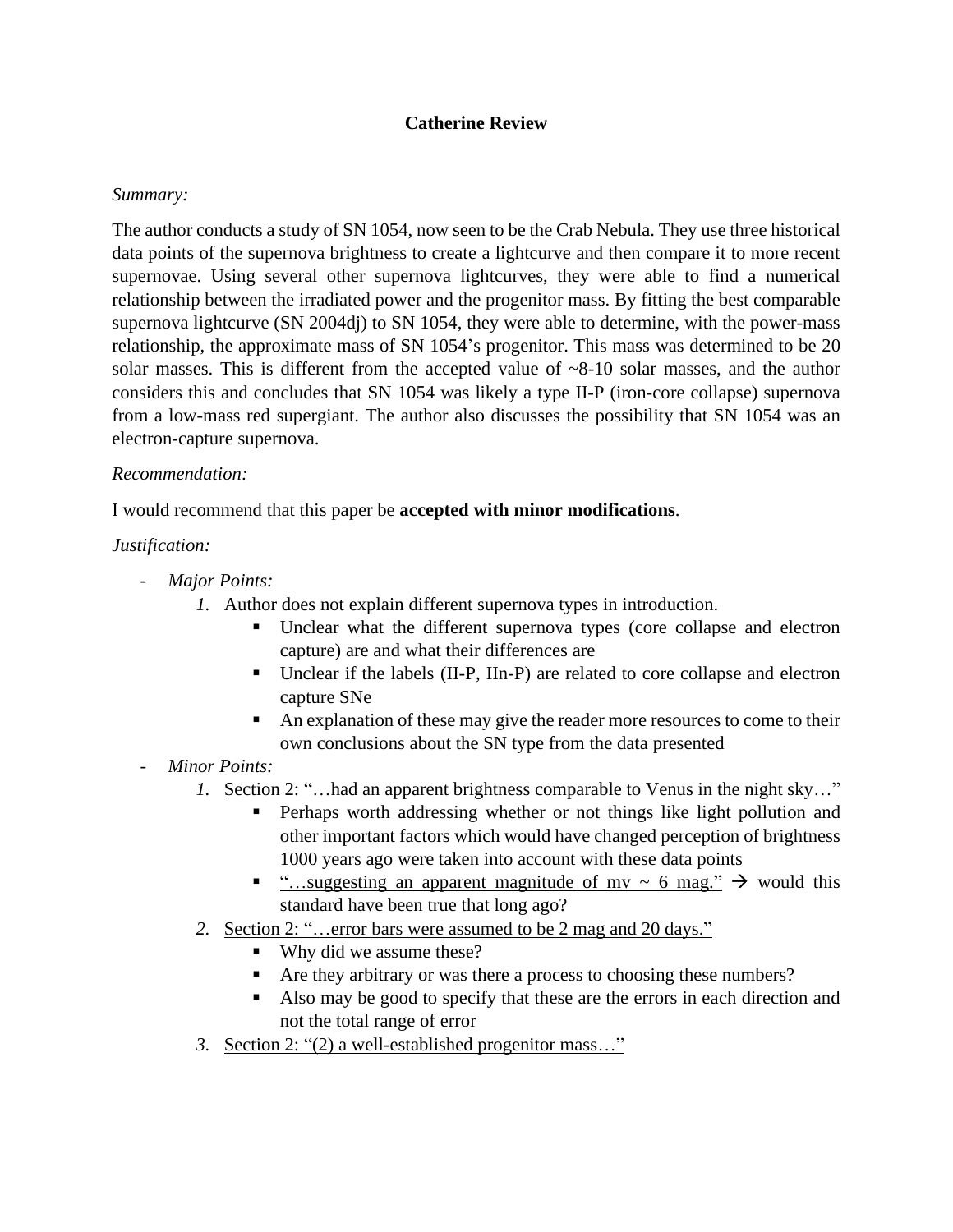# **Catherine Review**

## *Summary:*

The author conducts a study of SN 1054, now seen to be the Crab Nebula. They use three historical data points of the supernova brightness to create a lightcurve and then compare it to more recent supernovae. Using several other supernova lightcurves, they were able to find a numerical relationship between the irradiated power and the progenitor mass. By fitting the best comparable supernova lightcurve (SN 2004dj) to SN 1054, they were able to determine, with the power-mass relationship, the approximate mass of SN 1054's progenitor. This mass was determined to be 20 solar masses. This is different from the accepted value of  $\sim 8-10$  solar masses, and the author considers this and concludes that SN 1054 was likely a type II-P (iron-core collapse) supernova from a low-mass red supergiant. The author also discusses the possibility that SN 1054 was an electron-capture supernova.

## *Recommendation:*

I would recommend that this paper be **accepted with minor modifications**.

# *Justification:*

- *Major Points:*
	- *1.* Author does not explain different supernova types in introduction.
		- Unclear what the different supernova types (core collapse and electron capture) are and what their differences are
		- Unclear if the labels (II-P, IIn-P) are related to core collapse and electron capture SNe
		- An explanation of these may give the reader more resources to come to their own conclusions about the SN type from the data presented
- *Minor Points:*
	- *1.* Section 2: "…had an apparent brightness comparable to Venus in the night sky…"
		- Perhaps worth addressing whether or not things like light pollution and other important factors which would have changed perception of brightness 1000 years ago were taken into account with these data points
		- "…suggesting an apparent magnitude of mv  $\sim$  6 mag."  $\rightarrow$  would this standard have been true that long ago?
	- *2.* Section 2: "…error bars were assumed to be 2 mag and 20 days."
		- Why did we assume these?
		- Are they arbitrary or was there a process to choosing these numbers?
		- Also may be good to specify that these are the errors in each direction and not the total range of error
	- *3.* Section 2: "(2) a well-established progenitor mass…"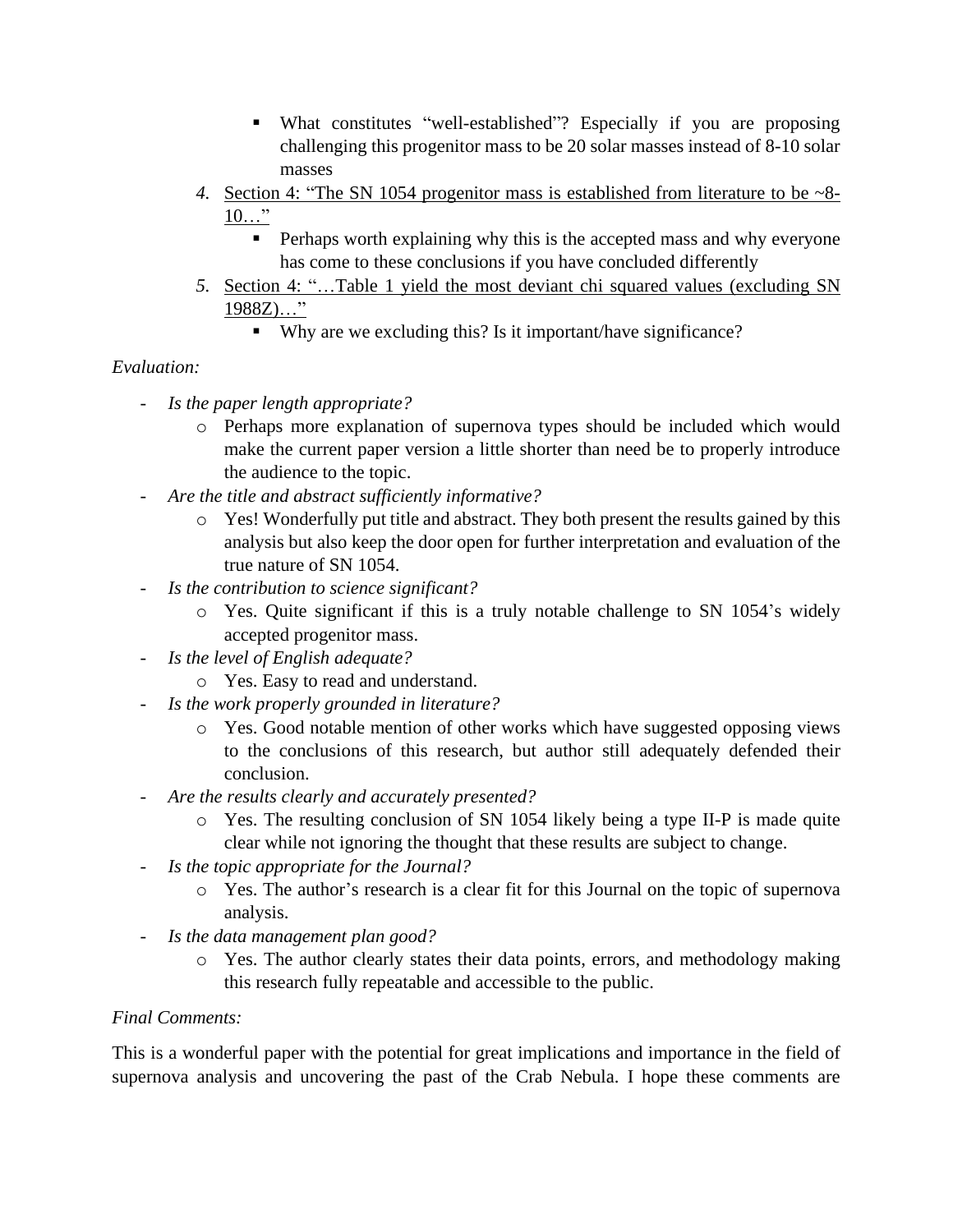- What constitutes "well-established"? Especially if you are proposing challenging this progenitor mass to be 20 solar masses instead of 8-10 solar masses
- *4.* Section 4: "The SN 1054 progenitor mass is established from literature to be ~8- 10…"
	- **•** Perhaps worth explaining why this is the accepted mass and why everyone has come to these conclusions if you have concluded differently
- *5.* Section 4: "…Table 1 yield the most deviant chi squared values (excluding SN 1988Z)…"
	- Why are we excluding this? Is it important/have significance?

# *Evaluation:*

- *Is the paper length appropriate?*
	- o Perhaps more explanation of supernova types should be included which would make the current paper version a little shorter than need be to properly introduce the audience to the topic.
- *Are the title and abstract sufficiently informative?*
	- $\circ$  Yes! Wonderfully put title and abstract. They both present the results gained by this analysis but also keep the door open for further interpretation and evaluation of the true nature of SN 1054.
- *Is the contribution to science significant?*
	- $\circ$  Yes. Quite significant if this is a truly notable challenge to SN 1054's widely accepted progenitor mass.
- *Is the level of English adequate?*
	- o Yes. Easy to read and understand.
- *Is the work properly grounded in literature?*
	- o Yes. Good notable mention of other works which have suggested opposing views to the conclusions of this research, but author still adequately defended their conclusion.
- *Are the results clearly and accurately presented?*
	- o Yes. The resulting conclusion of SN 1054 likely being a type II-P is made quite clear while not ignoring the thought that these results are subject to change.
- *Is the topic appropriate for the Journal?*
	- o Yes. The author's research is a clear fit for this Journal on the topic of supernova analysis.
- *Is the data management plan good?*
	- o Yes. The author clearly states their data points, errors, and methodology making this research fully repeatable and accessible to the public.

# *Final Comments:*

This is a wonderful paper with the potential for great implications and importance in the field of supernova analysis and uncovering the past of the Crab Nebula. I hope these comments are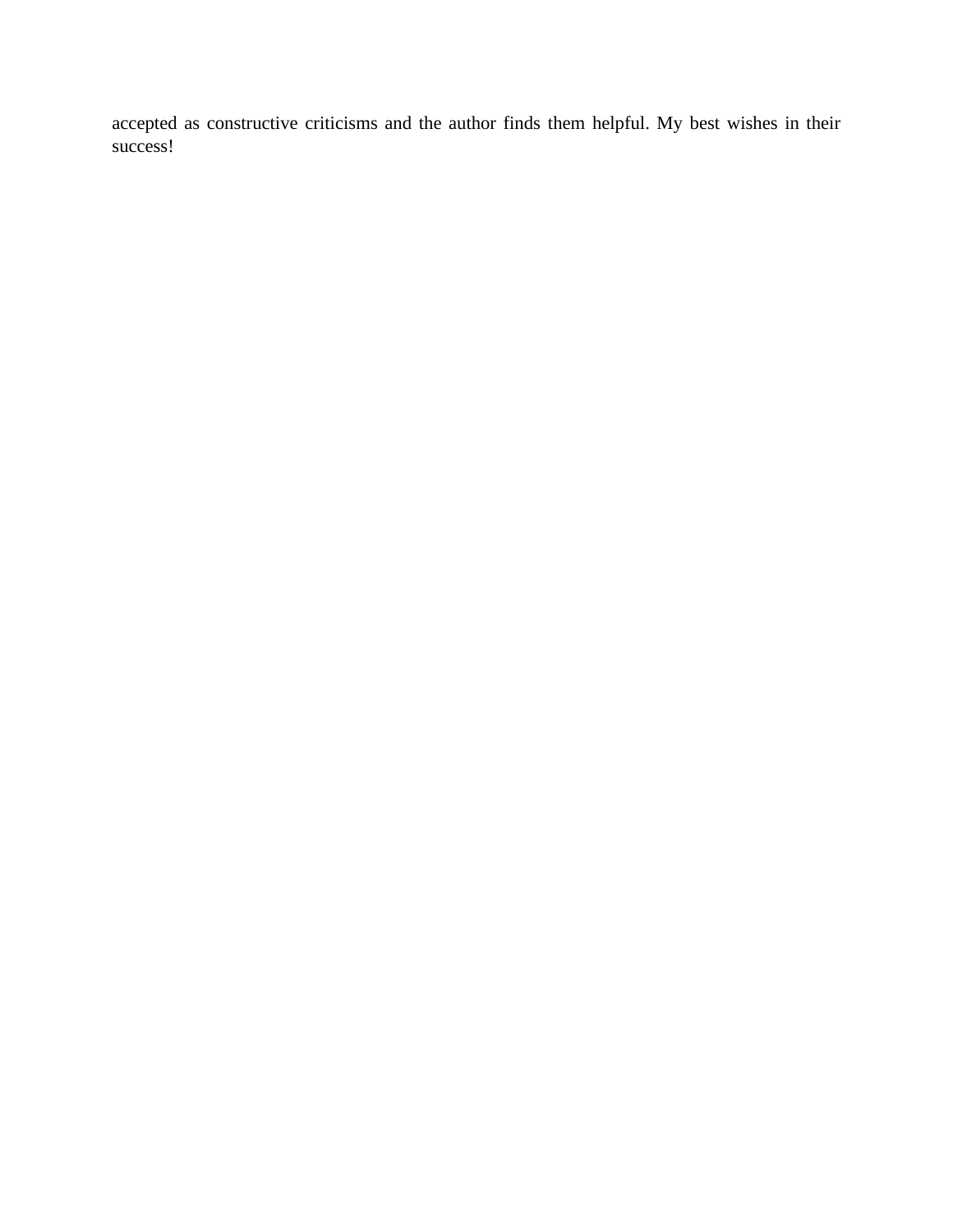accepted as constructive criticisms and the author finds them helpful. My best wishes in their success!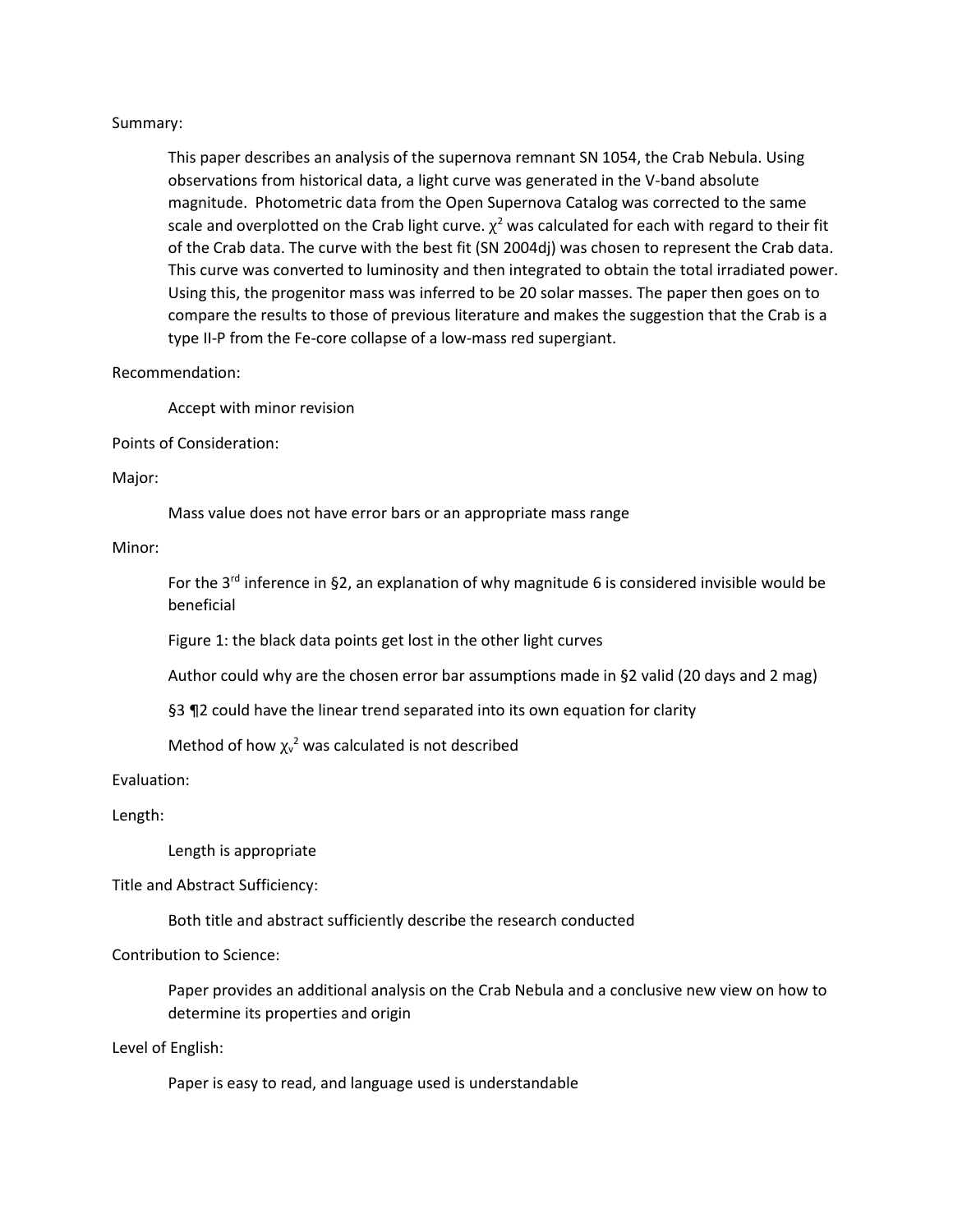#### Summary:

This paper describes an analysis of the supernova remnant SN 1054, the Crab Nebula. Using observations from historical data, a light curve was generated in the V-band absolute magnitude. Photometric data from the Open Supernova Catalog was corrected to the same scale and overplotted on the Crab light curve.  $\chi^2$  was calculated for each with regard to their fit of the Crab data. The curve with the best fit (SN 2004dj) was chosen to represent the Crab data. This curve was converted to luminosity and then integrated to obtain the total irradiated power. Using this, the progenitor mass was inferred to be 20 solar masses. The paper then goes on to compare the results to those of previous literature and makes the suggestion that the Crab is a type II-P from the Fe-core collapse of a low-mass red supergiant.

#### Recommendation:

Accept with minor revision

Points of Consideration:

Major:

Mass value does not have error bars or an appropriate mass range

#### Minor:

For the  $3<sup>rd</sup>$  inference in §2, an explanation of why magnitude 6 is considered invisible would be beneficial

Figure 1: the black data points get lost in the other light curves

Author could why are the chosen error bar assumptions made in §2 valid (20 days and 2 mag)

§3 ¶2 could have the linear trend separated into its own equation for clarity

Method of how  $\chi^{2}$  was calculated is not described

Evaluation:

Length:

Length is appropriate

Title and Abstract Sufficiency:

Both title and abstract sufficiently describe the research conducted

Contribution to Science:

Paper provides an additional analysis on the Crab Nebula and a conclusive new view on how to determine its properties and origin

Level of English:

Paper is easy to read, and language used is understandable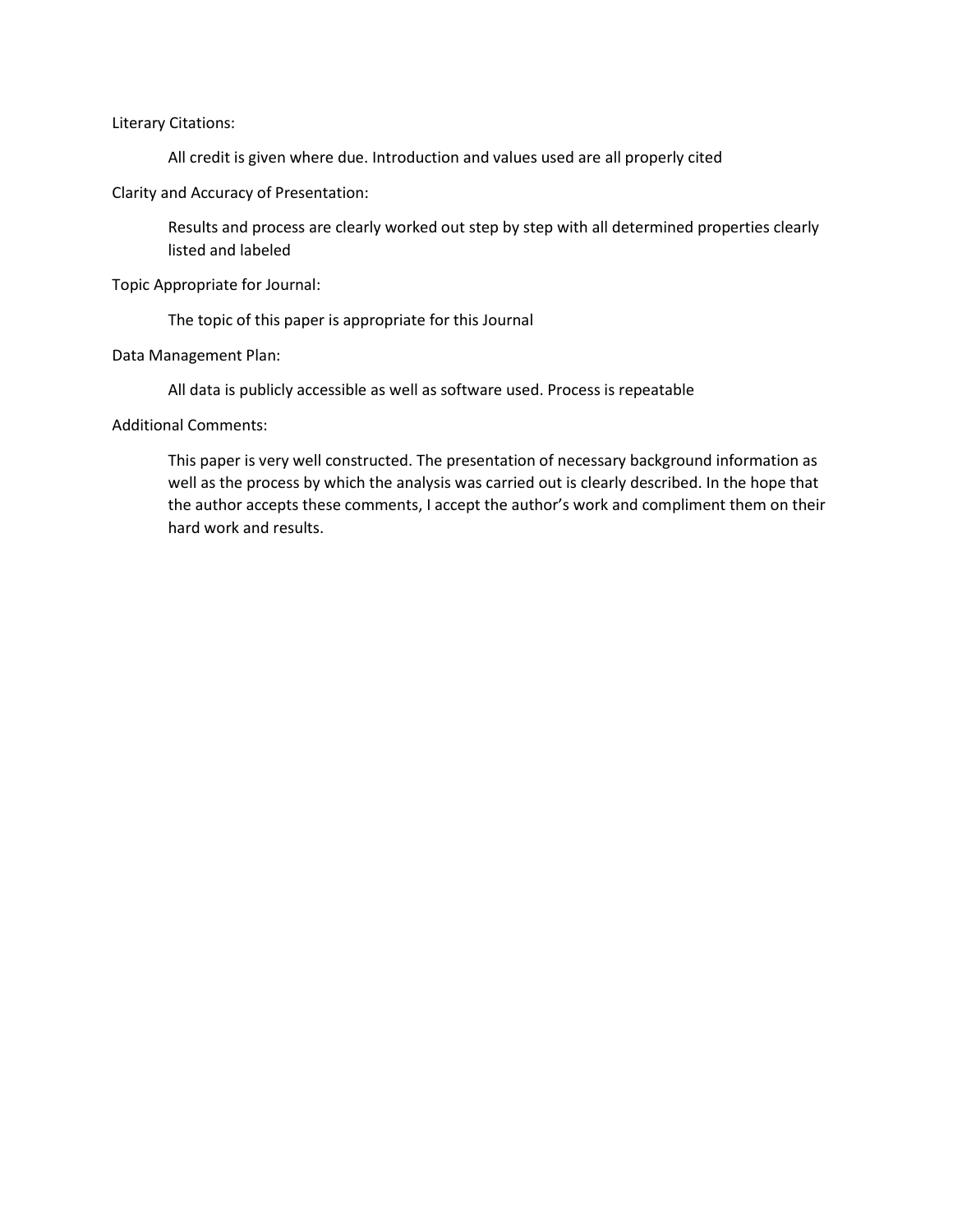Literary Citations:

All credit is given where due. Introduction and values used are all properly cited

Clarity and Accuracy of Presentation:

Results and process are clearly worked out step by step with all determined properties clearly listed and labeled

Topic Appropriate for Journal:

The topic of this paper is appropriate for this Journal

Data Management Plan:

All data is publicly accessible as well as software used. Process is repeatable

Additional Comments:

This paper is very well constructed. The presentation of necessary background information as well as the process by which the analysis was carried out is clearly described. In the hope that the author accepts these comments, I accept the author's work and compliment them on their hard work and results.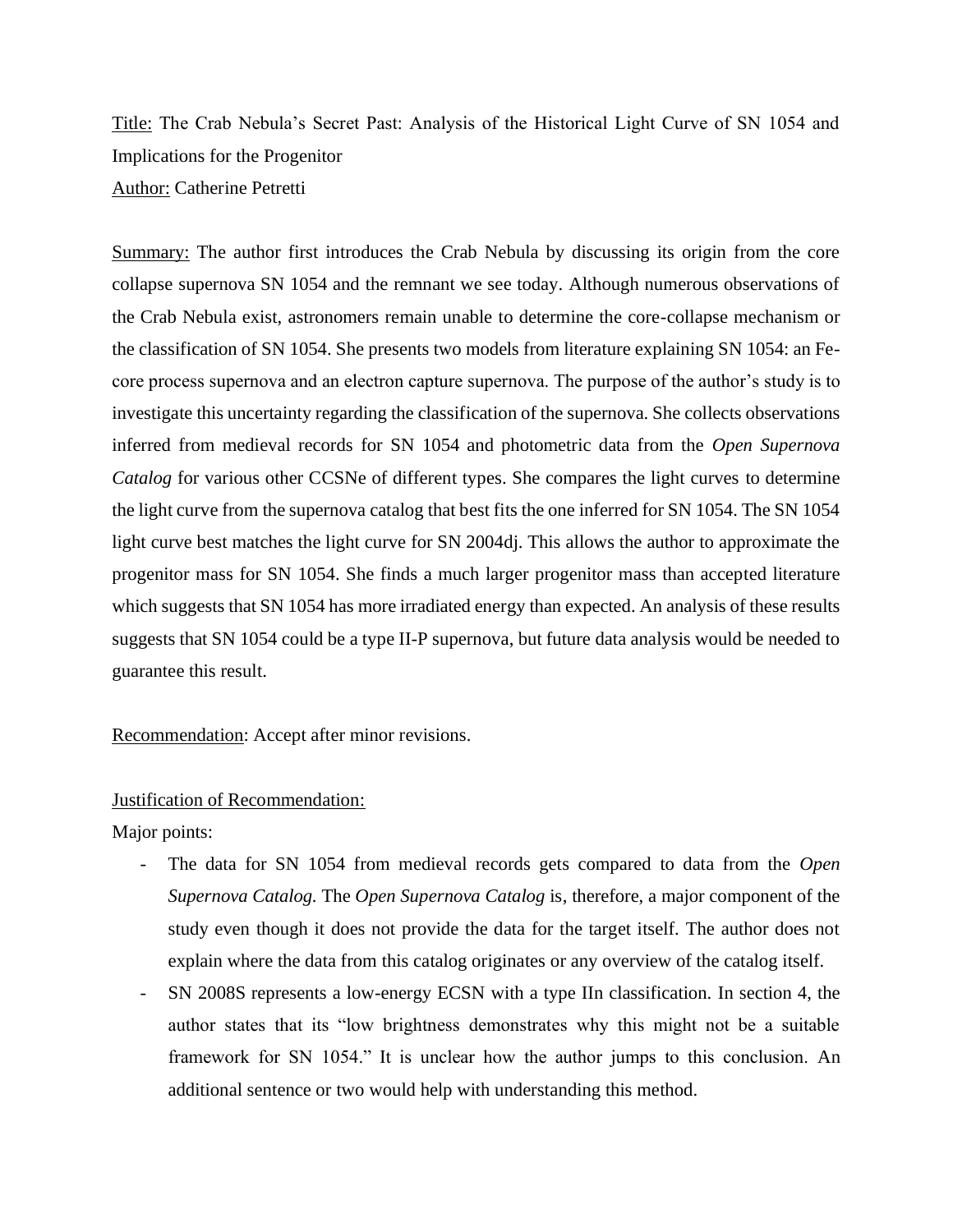Title: The Crab Nebula's Secret Past: Analysis of the Historical Light Curve of SN 1054 and Implications for the Progenitor Author: Catherine Petretti

Summary: The author first introduces the Crab Nebula by discussing its origin from the core collapse supernova SN 1054 and the remnant we see today. Although numerous observations of the Crab Nebula exist, astronomers remain unable to determine the core-collapse mechanism or the classification of SN 1054. She presents two models from literature explaining SN 1054: an Fecore process supernova and an electron capture supernova. The purpose of the author's study is to investigate this uncertainty regarding the classification of the supernova. She collects observations inferred from medieval records for SN 1054 and photometric data from the *Open Supernova Catalog* for various other CCSNe of different types. She compares the light curves to determine the light curve from the supernova catalog that best fits the one inferred for SN 1054. The SN 1054 light curve best matches the light curve for SN 2004dj. This allows the author to approximate the progenitor mass for SN 1054. She finds a much larger progenitor mass than accepted literature which suggests that SN 1054 has more irradiated energy than expected. An analysis of these results suggests that SN 1054 could be a type II-P supernova, but future data analysis would be needed to guarantee this result.

Recommendation: Accept after minor revisions.

#### Justification of Recommendation:

Major points:

- The data for SN 1054 from medieval records gets compared to data from the *Open Supernova Catalog.* The *Open Supernova Catalog* is, therefore, a major component of the study even though it does not provide the data for the target itself. The author does not explain where the data from this catalog originates or any overview of the catalog itself.
- SN 2008S represents a low-energy ECSN with a type IIn classification. In section 4, the author states that its "low brightness demonstrates why this might not be a suitable framework for SN 1054." It is unclear how the author jumps to this conclusion. An additional sentence or two would help with understanding this method.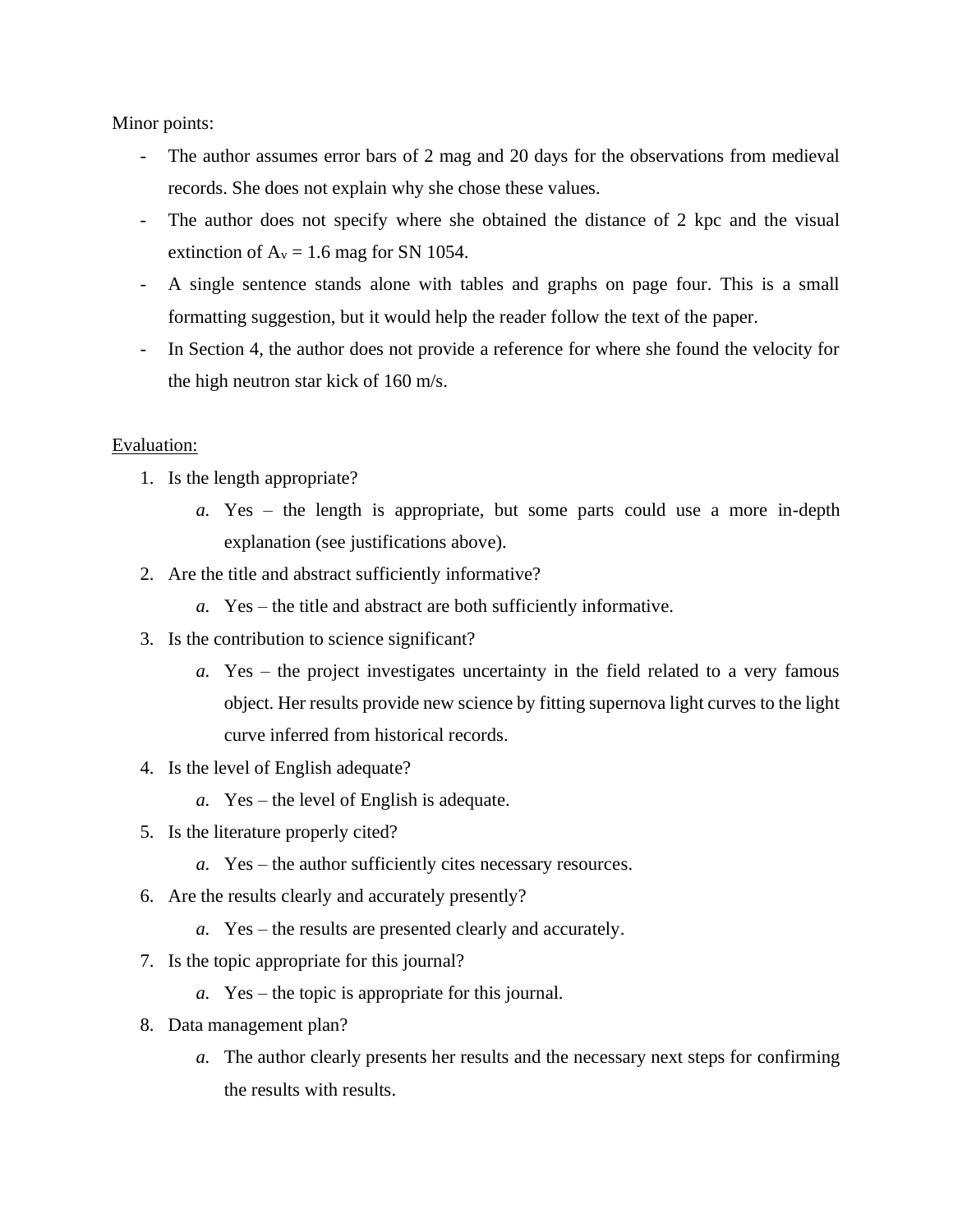Minor points:

- The author assumes error bars of 2 mag and 20 days for the observations from medieval records. She does not explain why she chose these values.
- The author does not specify where she obtained the distance of 2 kpc and the visual extinction of  $A_v = 1.6$  mag for SN 1054.
- A single sentence stands alone with tables and graphs on page four. This is a small formatting suggestion, but it would help the reader follow the text of the paper.
- In Section 4, the author does not provide a reference for where she found the velocity for the high neutron star kick of 160 m/s.

## Evaluation:

- 1. Is the length appropriate?
	- *a.* Yes the length is appropriate, but some parts could use a more in-depth explanation (see justifications above).
- 2. Are the title and abstract sufficiently informative?
	- *a.* Yes the title and abstract are both sufficiently informative.
- 3. Is the contribution to science significant?
	- *a.* Yes the project investigates uncertainty in the field related to a very famous object. Her results provide new science by fitting supernova light curves to the light curve inferred from historical records.
- 4. Is the level of English adequate?
	- *a.* Yes the level of English is adequate.
- 5. Is the literature properly cited?
	- *a.* Yes the author sufficiently cites necessary resources.
- 6. Are the results clearly and accurately presently?
	- *a.* Yes the results are presented clearly and accurately.
- 7. Is the topic appropriate for this journal?
	- *a.* Yes the topic is appropriate for this journal.
- 8. Data management plan?
	- *a.* The author clearly presents her results and the necessary next steps for confirming the results with results.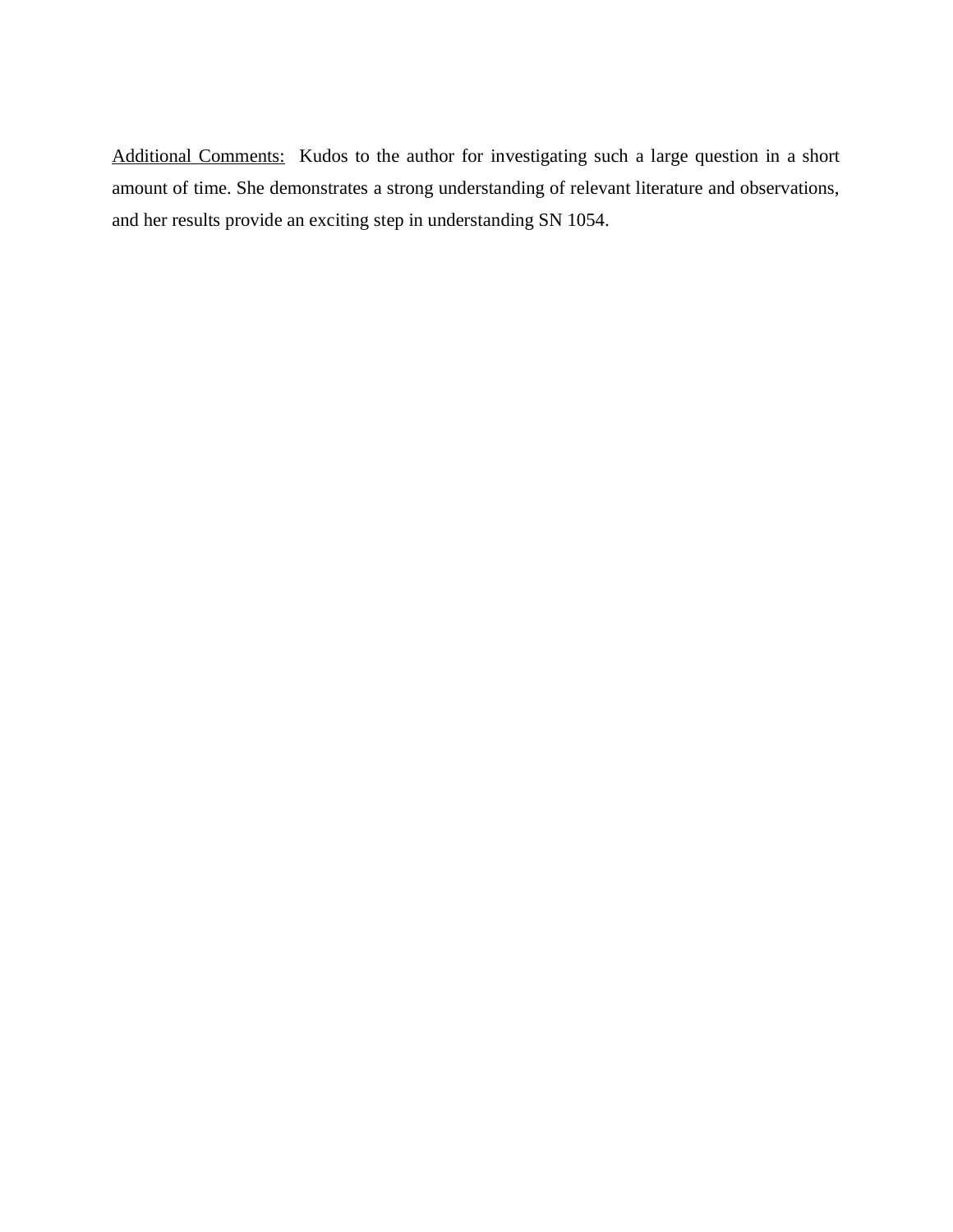Additional Comments: Kudos to the author for investigating such a large question in a short amount of time. She demonstrates a strong understanding of relevant literature and observations, and her results provide an exciting step in understanding SN 1054.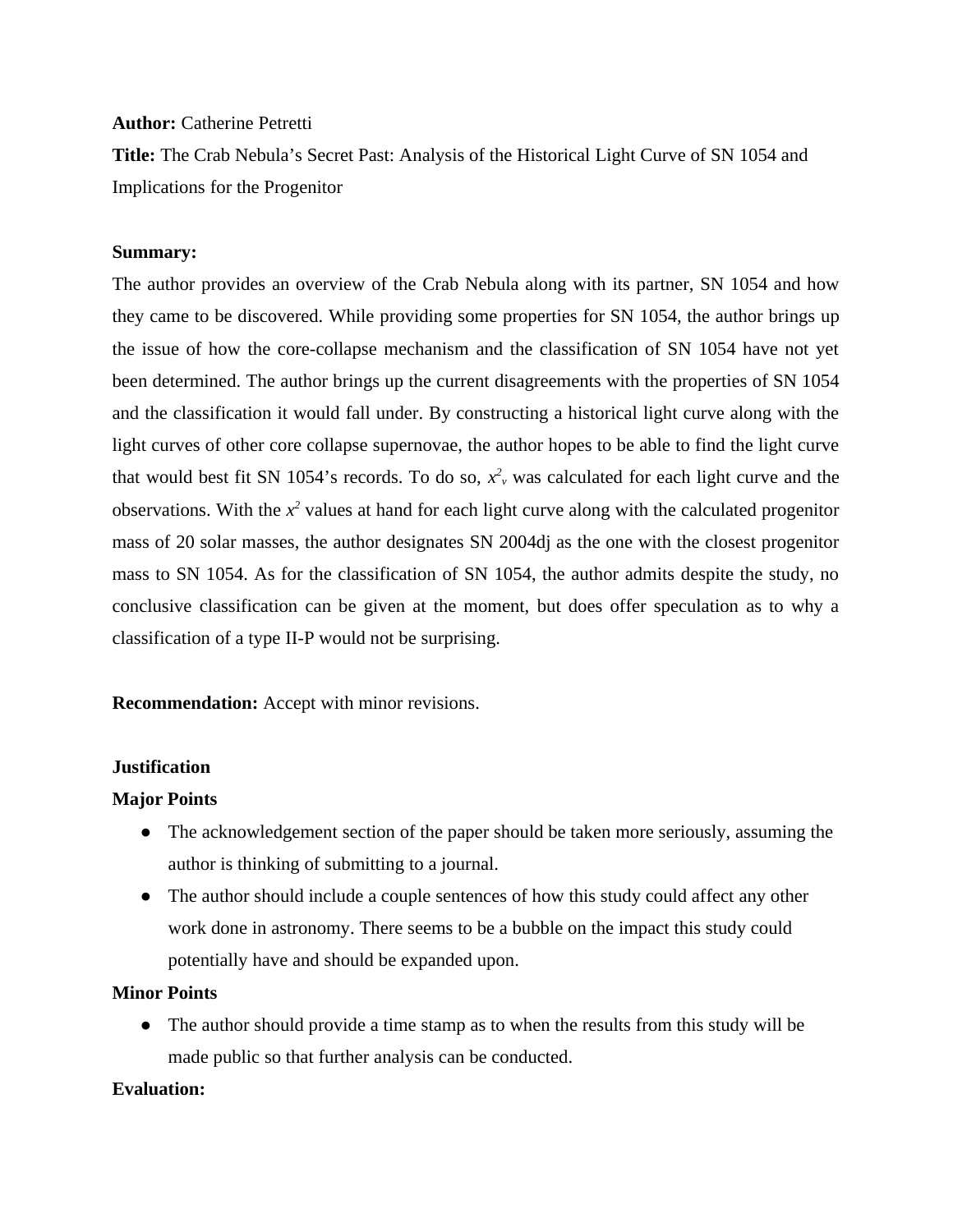#### **Author:** Catherine Petretti

**Title:** The Crab Nebula's Secret Past: Analysis of the Historical Light Curve of SN 1054 and Implications for the Progenitor

## **Summary:**

The author provides an overview of the Crab Nebula along with its partner, SN 1054 and how they came to be discovered. While providing some properties for SN 1054, the author brings up the issue of how the core-collapse mechanism and the classification of SN 1054 have not yet been determined. The author brings up the current disagreements with the properties of SN 1054 and the classification it would fall under. By constructing a historical light curve along with the light curves of other core collapse supernovae, the author hopes to be able to find the light curve that would best fit SN 1054's records. To do so,  $x_\nu^2$  was calculated for each light curve and the observations. With the  $x^2$  values at hand for each light curve along with the calculated progenitor mass of 20 solar masses, the author designates SN 2004dj as the one with the closest progenitor mass to SN 1054. As for the classification of SN 1054, the author admits despite the study, no conclusive classification can be given at the moment, but does offer speculation as to why a classification of a type II-P would not be surprising.

**Recommendation:** Accept with minor revisions.

## **Justification**

## **Major Points**

- **●** The acknowledgement section of the paper should be taken more seriously, assuming the author is thinking of submitting to a journal.
- The author should include a couple sentences of how this study could affect any other work done in astronomy. There seems to be a bubble on the impact this study could potentially have and should be expanded upon.

## **Minor Points**

• The author should provide a time stamp as to when the results from this study will be made public so that further analysis can be conducted.

## **Evaluation:**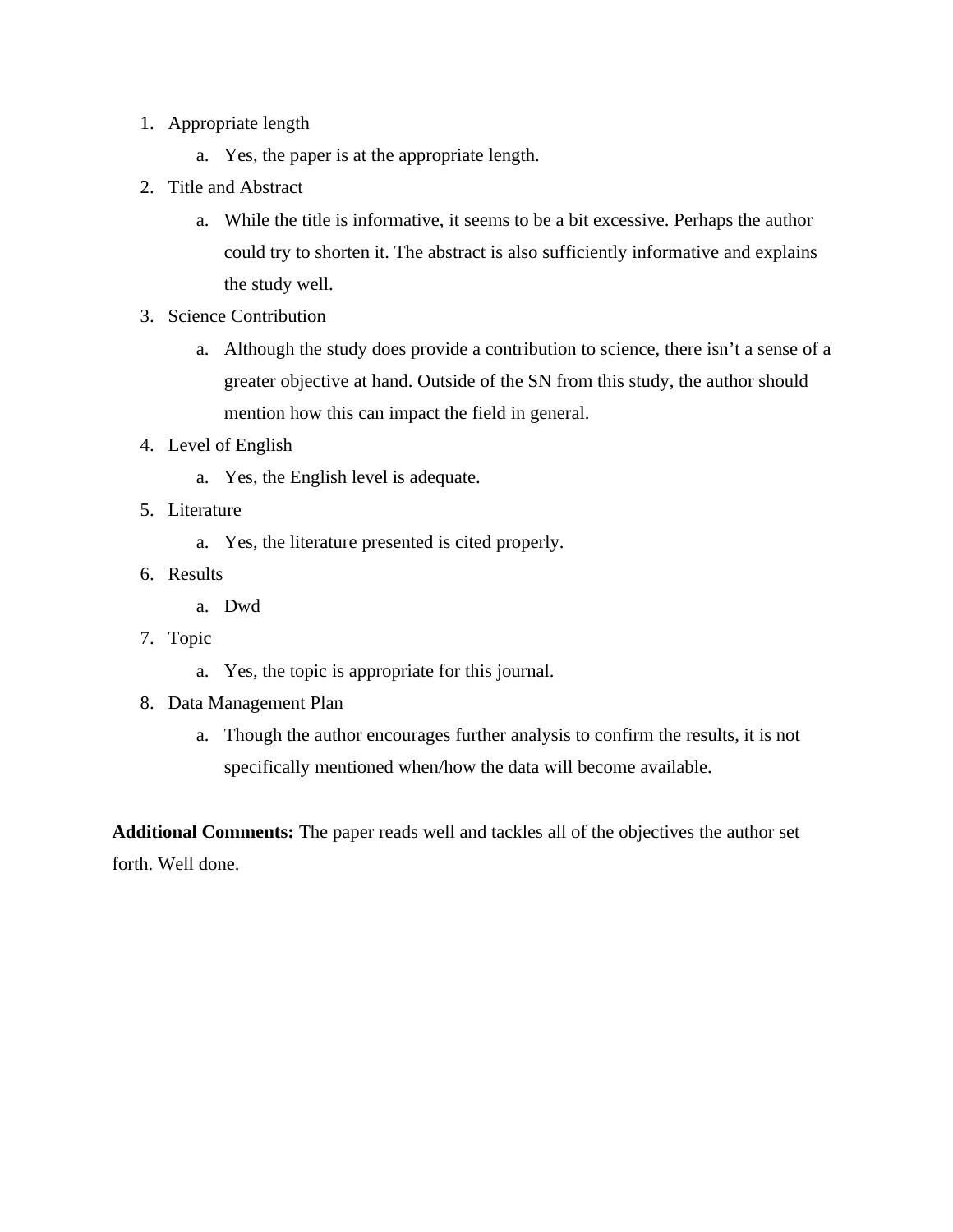- 1. Appropriate length
	- a. Yes, the paper is at the appropriate length.
- 2. Title and Abstract
	- a. While the title is informative, it seems to be a bit excessive. Perhaps the author could try to shorten it. The abstract is also sufficiently informative and explains the study well.
- 3. Science Contribution
	- a. Although the study does provide a contribution to science, there isn't a sense of a greater objective at hand. Outside of the SN from this study, the author should mention how this can impact the field in general.
- 4. Level of English
	- a. Yes, the English level is adequate.
- 5. Literature
	- a. Yes, the literature presented is cited properly.
- 6. Results
	- a. Dwd
- 7. Topic
	- a. Yes, the topic is appropriate for this journal.
- 8. Data Management Plan
	- a. Though the author encourages further analysis to confirm the results, it is not specifically mentioned when/how the data will become available.

**Additional Comments:** The paper reads well and tackles all of the objectives the author set forth. Well done.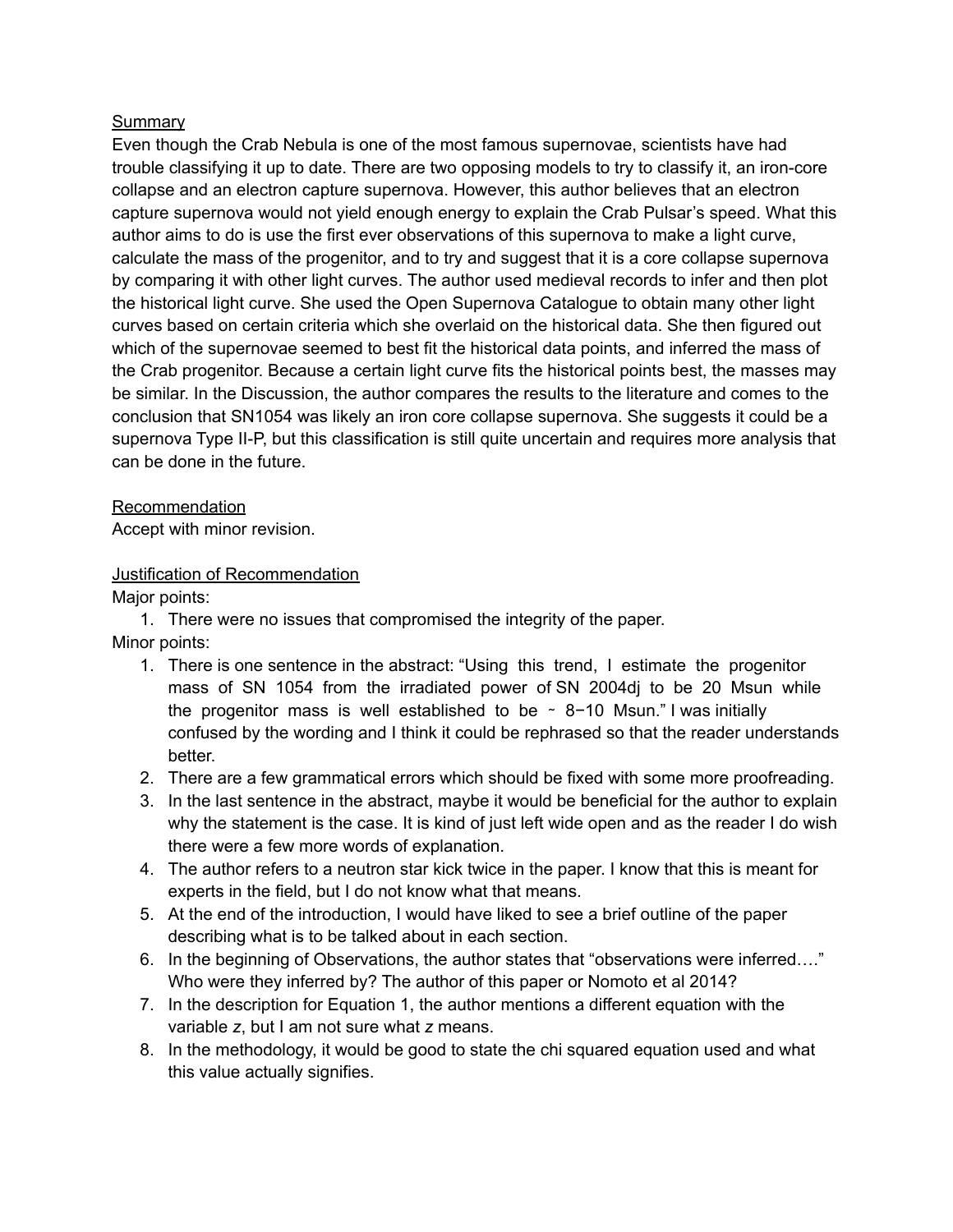## Summary

Even though the Crab Nebula is one of the most famous supernovae, scientists have had trouble classifying it up to date. There are two opposing models to try to classify it, an iron-core collapse and an electron capture supernova. However, this author believes that an electron capture supernova would not yield enough energy to explain the Crab Pulsar's speed. What this author aims to do is use the first ever observations of this supernova to make a light curve, calculate the mass of the progenitor, and to try and suggest that it is a core collapse supernova by comparing it with other light curves. The author used medieval records to infer and then plot the historical light curve. She used the Open Supernova Catalogue to obtain many other light curves based on certain criteria which she overlaid on the historical data. She then figured out which of the supernovae seemed to best fit the historical data points, and inferred the mass of the Crab progenitor. Because a certain light curve fits the historical points best, the masses may be similar. In the Discussion, the author compares the results to the literature and comes to the conclusion that SN1054 was likely an iron core collapse supernova. She suggests it could be a supernova Type II-P, but this classification is still quite uncertain and requires more analysis that can be done in the future.

## Recommendation

Accept with minor revision.

## Justification of Recommendation

Major points:

1. There were no issues that compromised the integrity of the paper.

Minor points:

- 1. There is one sentence in the abstract: "Using this trend, I estimate the progenitor mass of SN 1054 from the irradiated power of SN 2004dj to be 20 Msun while the progenitor mass is well established to be ∼ 8−10 Msun." I was initially confused by the wording and I think it could be rephrased so that the reader understands better.
- 2. There are a few grammatical errors which should be fixed with some more proofreading.
- 3. In the last sentence in the abstract, maybe it would be beneficial for the author to explain why the statement is the case. It is kind of just left wide open and as the reader I do wish there were a few more words of explanation.
- 4. The author refers to a neutron star kick twice in the paper. I know that this is meant for experts in the field, but I do not know what that means.
- 5. At the end of the introduction, I would have liked to see a brief outline of the paper describing what is to be talked about in each section.
- 6. In the beginning of Observations, the author states that "observations were inferred…." Who were they inferred by? The author of this paper or Nomoto et al 2014?
- 7. In the description for Equation 1, the author mentions a different equation with the variable *z*, but I am not sure what *z* means.
- 8. In the methodology, it would be good to state the chi squared equation used and what this value actually signifies.